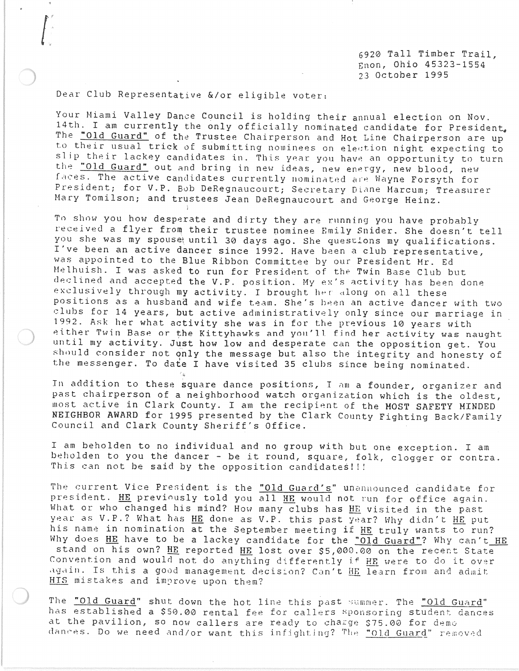6920 Tall Timber Trail, Enon, Ohio 45323-1554 23 October 1995

Dear Club Representative &/or eligible voter:

 $\begin{bmatrix} 1 & 1 \\ 1 & 1 \\ 1 & 1 \end{bmatrix}$ 

Your Miami Valley Dance Council is holding their annual election on Nov. 14th. I am currently the only officially nominated candidate for President. The "Old Guard" of the Trustee Chairperson and Hot Line Chairperson are up to their usual trick of submitting nominees on election night expecting to slip their lackey candidates in. This year you have an opportunity to turn the "Old Guard" out and bring in new ideas, new energy, new blood, new faces. The active candidates currently nominated are Wayne Forsyth for President; for V.P. Bob DeRegnaucourt; Secretary Diane Marcum; Treasurer Mary Tomilson; and trustees Jean DeRegnaucourt and George Heinz.

To show you how desperate and dirty they are running you have probably received a flyer from their trustee nominee Emily Snider. She doesn't tell you she was my spouse until 30 days ago. She questions my qualifications. I've been an active dancer since 1992. Have been a club representative, was appointed to the Blue Ribbon Committee by our President Mr. Ed Helhuish. I was asked to run for President of the Twin Base Club but declined and accepted the V.P. position. My ex's activity has been done exclusively through my activity. I brought her along on all these positions as a husband and wife team. She's been an active dancer with two clubs for 14 years, but active administratively only since our marriage in 1992. Ask her what activity she was in for the previous 10 years with either Twin Base or the Kittyhawks and you'll find her activity was naught until my activity. Just how low and desperate can the opposition get. You should consider not only the message but also the integrity and honesty of the messenger. To date I have visited 35 clubs since being nominated.

In addition to these square dance positions, I am a founder, organizer and past chairperson of a neighborhood watch organization which is the oldest, most active in Clark County. I am the recipient of the MOST SAFETY MINDED NEIGHBOR AWARD for 1995 presented by the Clark County Fighting Back/Family Council and Clark County Sheriff's Office.

I am beholden to no individual and no group with but one exception. I am beholden to you the dancer - be it round, square, folk, clogger or contra. This can not be said by the opposition candidates!!!

The current Vice President is the "Old Guard's" unannounced candidate for president. HE previously told you all HE would not run for office again. What or who changed his mind? How many clubs has HE visited in the past year as V. P.? What has HE done as V. P. this past year? Why didn't HE put his name in nomination at the September meeting if HE truly wants to run? Why does HE have to be a lackey candidate for the "Old Guard"? Why can't HE stand on his own? HE reported HE lost over \$5,000.00 on the recent State Convention and would not do anything differently if HE were to do it over again. Is this a good management decision? Can't HE learn from and admit HIS mistakes and improve upon them?

The "Old Guard" shut down the hot line this past summer. The "Old Guard" has established a \$50.00 rental fee for callers sponsoring student dances at the pavilion, so now callers are ready to charge \$75.00 for demo dances. Do we need and/or want this infighting? The "Old Guard" removed